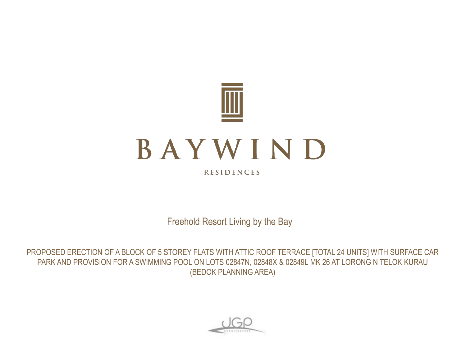

**RESIDENCES** 

Freehold Resort Living by the Bay

PROPOSED ERECTION OF A BLOCK OF 5 STOREY FLATS WITH ATTIC ROOF TERRACE [TOTAL 24 UNITS] WITH SURFACE CAR PARK AND PROVISION FOR A SWIMMING POOL ON LOTS 02847N, 02848X & 02849L MK 26 AT LORONG N TELOK KURAU (BEDOK PLANNING AREA)

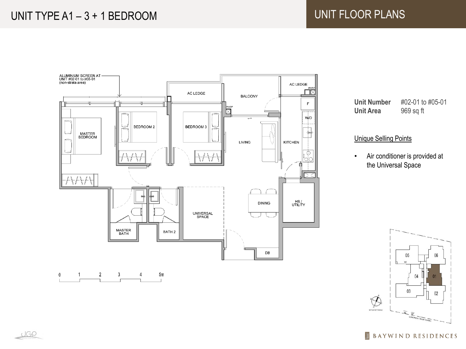

**Unit Number** #02-01 to #05-01 **Unit Area** 969 sq ft

## Unique Selling Points

• Air conditioner is provided at the Universal Space



 $\overline{\mathbb{I}\hspace{-1.5pt}I}$ **BAYWIND RESIDENCES**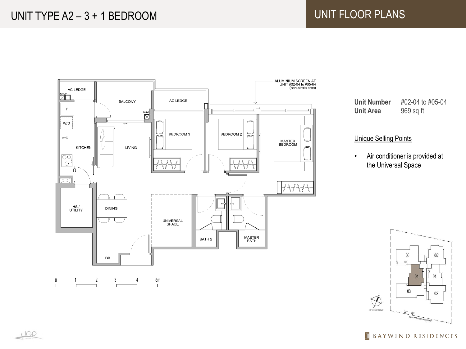# UNIT TYPE A2 - 3 + 1 BEDROOM UNIT FLOOR PLANS





**Unit Number** #02-04 to #05-04 **Unit Area** 969 sq ft

## Unique Selling Points

• Air conditioner is provided at the Universal Space



 $\overline{\mathbb{I}\hspace{-1.5pt}I}$ **BAYWIND RESIDENCES**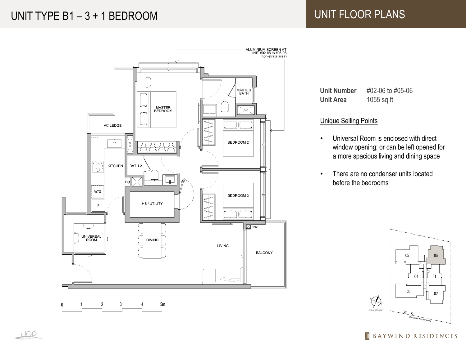# UNIT TYPE B1 - 3 + 1 BEDROOM UNIT FLOOR PLANS



**Unit Number** #02-06 to #05-06 **Unit Area** 1055 sq ft

### Unique Selling Points

- Universal Room is enclosed with direct window opening; or can be left opened for a more spacious living and dining space
- There are no condenser units located before the bedrooms



 $\overline{\mathbb{H}}$ **BAYWIND RESIDENCES** 

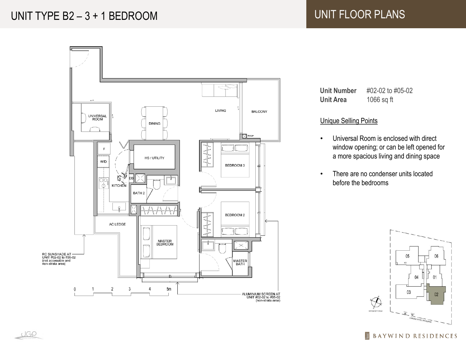# UNIT TYPE B2 - 3 + 1 BEDROOM UNIT FLOOR PLANS





 $\overline{\mathbb{I}\hspace{-1.8pt}I}$ **BAYWIND RESIDENCES** 

UGP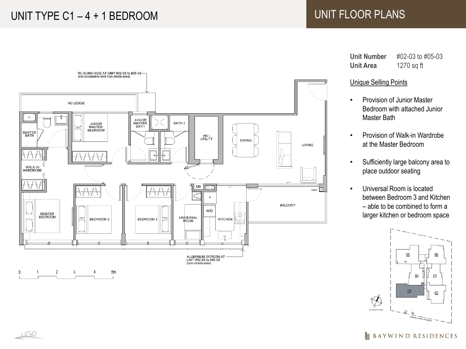# UNIT TYPE C1 - 4 + 1 BEDROOM UNIT FLOOR PLANS



**Unit Number** #02-03 to #05-03 **Unit Area** 1270 sq ft

#### Unique Selling Points

- Provision of Junior Master Bedroom with attached Junior Master Bath
- Provision of Walk-in Wardrobe at the Master Bedroom
- Sufficiently large balcony area to place outdoor seating
- Universal Room is located between Bedroom 3 and Kitchen  $-$  able to be combined to form a larger kitchen or bedroom space



#### $\overline{\mathbb{I}}$ **BAYWIND RESIDENCES**